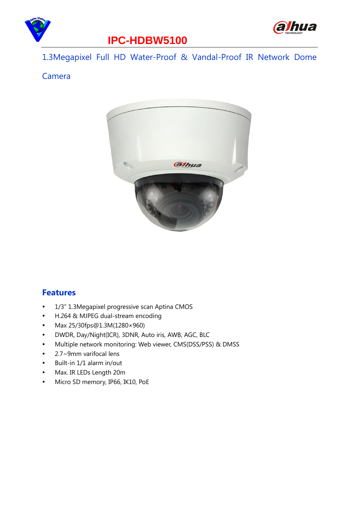



### **IPC-HDBW5100**

1.3Megapixel Full HD Water-Proof & Vandal-Proof IR Network Dome

#### Camera



#### **Features**

- 1/3" 1.3Megapixel progressive scan Aptina CMOS
- H.264 & MJPEG dual-stream encoding
- Max 25/30fps@1.3M(1280×960)
- DWDR, Day/Night(ICR), 3DNR, Auto iris, AWB, AGC, BLC
- Multiple network monitoring: Web viewer, CMS(DSS/PSS) & DMSS
- 2.7~9mm varifocal lens
- Built-in 1/1 alarm in/out
- Max. IR LEDs Length 20m
- Micro SD memory, IP66, IK10, PoE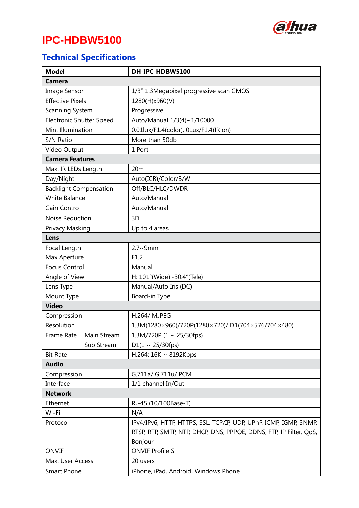

# **IPC-HDBW5100**

# **Technical Specifications**

| <b>Model</b>                    |             | DH-IPC-HDBW5100                                                    |  |  |  |  |
|---------------------------------|-------------|--------------------------------------------------------------------|--|--|--|--|
| <b>Camera</b>                   |             |                                                                    |  |  |  |  |
| <b>Image Sensor</b>             |             | 1/3" 1.3Megapixel progressive scan CMOS                            |  |  |  |  |
| <b>Effective Pixels</b>         |             | 1280(H)x960(V)                                                     |  |  |  |  |
| Scanning System                 |             | Progressive                                                        |  |  |  |  |
| <b>Electronic Shutter Speed</b> |             | Auto/Manual 1/3(4)~1/10000                                         |  |  |  |  |
| Min. Illumination               |             | 0.01lux/F1.4(color), 0Lux/F1.4(IR on)                              |  |  |  |  |
| S/N Ratio                       |             | More than 50db                                                     |  |  |  |  |
| Video Output                    |             | 1 Port                                                             |  |  |  |  |
| <b>Camera Features</b>          |             |                                                                    |  |  |  |  |
| Max. IR LEDs Length             |             | 20 <sub>m</sub>                                                    |  |  |  |  |
| Day/Night                       |             | Auto(ICR)/Color/B/W                                                |  |  |  |  |
| <b>Backlight Compensation</b>   |             | Off/BLC/HLC/DWDR                                                   |  |  |  |  |
| <b>White Balance</b>            |             | Auto/Manual                                                        |  |  |  |  |
| Gain Control                    |             | Auto/Manual                                                        |  |  |  |  |
| Noise Reduction                 |             | 3D                                                                 |  |  |  |  |
| Privacy Masking                 |             | Up to 4 areas                                                      |  |  |  |  |
| Lens                            |             |                                                                    |  |  |  |  |
| Focal Length                    |             | $2.7 - 9$ mm                                                       |  |  |  |  |
| Max Aperture                    |             | F1.2                                                               |  |  |  |  |
| <b>Focus Control</b>            |             | Manual                                                             |  |  |  |  |
| Angle of View                   |             | H: 101°(Wide)~30.4°(Tele)                                          |  |  |  |  |
| Lens Type                       |             | Manual/Auto Iris (DC)                                              |  |  |  |  |
| Mount Type                      |             | Board-in Type                                                      |  |  |  |  |
| <b>Video</b>                    |             |                                                                    |  |  |  |  |
| Compression                     |             | <b>H.264/ MJPEG</b>                                                |  |  |  |  |
| Resolution                      |             | 1.3M(1280×960)/720P(1280×720)/D1(704×576/704×480)                  |  |  |  |  |
| Frame Rate                      | Main Stream | 1.3M/720P (1 ~ 25/30fps)                                           |  |  |  |  |
|                                 | Sub Stream  | $D1(1 \sim 25/30$ fps)                                             |  |  |  |  |
| <b>Bit Rate</b>                 |             | H.264: 16K ~ 8192Kbps                                              |  |  |  |  |
| <b>Audio</b>                    |             |                                                                    |  |  |  |  |
| Compression                     |             | G.711a/ G.711u/ PCM                                                |  |  |  |  |
| Interface                       |             | 1/1 channel In/Out                                                 |  |  |  |  |
| <b>Network</b>                  |             |                                                                    |  |  |  |  |
| Ethernet                        |             | RJ-45 (10/100Base-T)                                               |  |  |  |  |
| Wi-Fi                           |             | N/A                                                                |  |  |  |  |
| Protocol                        |             | IPv4/IPv6, HTTP, HTTPS, SSL, TCP/IP, UDP, UPnP, ICMP, IGMP, SNMP,  |  |  |  |  |
|                                 |             | RTSP, RTP, SMTP, NTP, DHCP, DNS, PPPOE, DDNS, FTP, IP Filter, QoS, |  |  |  |  |
|                                 |             | Bonjour                                                            |  |  |  |  |
| <b>ONVIF</b>                    |             | <b>ONVIF Profile S</b>                                             |  |  |  |  |
| Max. User Access                |             | 20 users                                                           |  |  |  |  |
| <b>Smart Phone</b>              |             | iPhone, iPad, Android, Windows Phone                               |  |  |  |  |